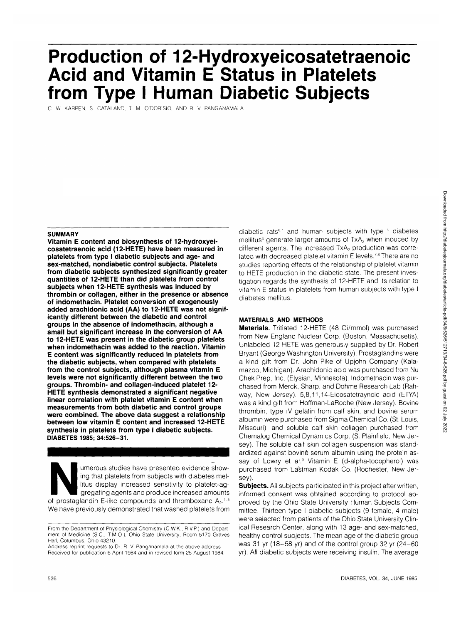# **Production of 12-Hydroxyeicosatetraenoic Acid and Vitamin E Status in Platelets from Type I Human Diabetic Subjects**

C. W. KARPEN. S. CATALAND, T. M. O'DORISIO, AND R. V. PANGANAMALA

# **SUMMARY**

**Vitamin E content and biosynthesis of 12-hydroxyeicosatetraenoic acid (12-HETE) have been measured in platelets from type I diabetic subjects and age- and sex-matched, nondiabetic control subjects. Platelets from diabetic subjects synthesized significantly greater quantities of 12-HETE than did platelets from control subjects when 12-HETE synthesis was induced by thrombin or collagen, either in the presence or absence of indomethacin. Platelet conversion of exogenously added arachidonic acid (AA) to 12-HETE was not significantly different between the diabetic and control groups in the absence of indomethacin, although a small but significant increase in the conversion of AA to 12-HETE was present in the diabetic group platelets when indomethacin was added to the reaction. Vitamin E content was significantly reduced in platelets from the diabetic subjects, when compared with platelets from the control subjects, although plasma vitamin E levels were not significantly different between the two groups. Thrombin- and collagen-induced platelet 12- HETE synthesis demonstrated a significant negative linear correlation with platelet vitamin E content when measurements from both diabetic and control groups were combined. The above data suggest a relationship between low vitamin E content and increased 12-HETE synthesis in platelets from type I diabetic subjects. DIABETES 1985; 34:526-31.**

umerous studies have presented evidence show-<br>
ing that platelets from subjects with diabetes mel-<br>
litus display increased sensitivity to platelet-ag-<br>
gregating agents and produce increased amounts<br>
of prostaglandin E-li ing that platelets from subjects with diabetes mellitus display increased sensitivity to platelet-aggregating agents and produce increased amounts We have previously demonstrated that washed platelets from

Address reprint requests to Dr. R. V. Panganamala at the above address. Received for publication 6 April 1984 and in revised form 25 August 1984.

diabetic rats<sup>6,7</sup> and human subjects with type I diabetes mellitus<sup>8</sup> generate larger amounts of TxA<sub>2</sub> when induced by different agents. The increased  $TxA<sub>2</sub>$  production was correlated with decreased platelet vitamin E levels.<sup>7,8</sup> There are no studies reporting effects of the relationship of platelet vitamin to HETE production in the diabetic state. The present investigation regards the synthesis of 12-HETE and its relation to vitamin E status in platelets from human subjects with type I diabetes mellitus.

# **MATERIALS AND METHODS**

**Materials.** Tritiated 12-HETE (48 Ci/mmol) was purchased from New England Nuclear Corp. (Boston, Massachusetts). Unlabeled 12-HETE was generously supplied by Dr. Robert Bryant (George Washington University). Prostaglandins were a kind gift from Dr. John Pike of Upjohn Company (Kalamazoo, Michigan). Arachidonic acid was purchased from Nu Chek Prep, Inc. (Elysian, Minnesota). Indomethacin was purchased from Merck, Sharp, and Dohme Research Lab (Rahway, New Jersey). 5,8,11,14-Eicosatetraynoic acid (ETYA) was a kind gift from Hoffman-LaRoche (New Jersey). Bovine thrombin, type IV gelatin from calf skin, and bovine serum albumin were purchased from Sigma Chemical Co. (St. Louis, Missouri), and soluble calf skin collagen purchased from Chemalog Chemical Dynamics Corp. (S. Plainfield, New Jersey). The soluble calf skin collagen suspension was standardized against bovine serum albumin using the protein assay of Lowry et al.<sup>9</sup> Vitamin E (d-alpha-tocopherol) was purchased from Eastman Kodak Co. (Rochester, New Jersey).

**Subjects.** All subjects participated in this project after written, informed consent was obtained according to protocol approved by the Ohio State University Human Subjects Committee. Thirteen type I diabetic subjects (9 female, 4 male) were selected from patients of the Ohio State University Clinical Research Center, along with 13 age- and sex-matched, healthy control subjects. The mean age of the diabetic group was 31 yr (18-58 yr) and of the control group 32 yr (24-60 yr). All diabetic subjects were receiving insulin. The average

From the Department of Physiological Chemistry (C.W.K., R.V.P.) and Department of Medicine (S.C., T.M.O.), Ohio State University, Room 5170 Graves Hall, Columbus, Ohio 43210.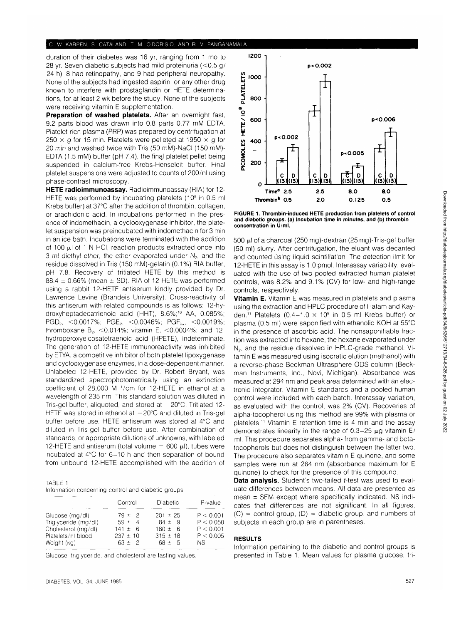duration of their diabetes was 16 yr, ranging from 1 mo to 28 yr. Seven diabetic subjects had mild proteinuria (<0.5 g/ 24 h), 8 had retinopathy, and 9 had peripheral neuropathy. None of the subjects had ingested aspirin, or any other drug known to interfere with prostaglandin or HETE determinations, for at least 2 wk before the study. None of the subjects were receiving vitamin E supplementation.

**Preparation of washed platelets.** After an overnight fast, 9.2 parts blood was drawn into 0.8 parts 0.77 mM EDTA. Platelet-rich plasma (PRP) was prepared by centrifugation at 250  $\times$  g for 15 min. Platelets were pelleted at 1950  $\times$  g for 20 min and washed twice with Tris (50 mM)-NaCI (150 mM)- EDTA (1.5 mM) buffer (pH 7.4), the final platelet pellet being suspended in calcium-free Krebs-Henseleit buffer. Final platelet suspensions were adjusted to counts of 200/nl using phase-contrast microscopy.

**HETE radioimmunoassay.** Radioimmunoassay (RIA) for 12- HETE was performed by incubating platelets (10<sup>8</sup> in 0.5 ml Krebs buffer) at 37°C after the addition of thrombin, collagen, or arachidonic acid. In incubations performed in the presence of indomethacin, a cyclooxygenase inhibitor, the platelet suspension was preincubated with indomethacin for 3 min in an ice bath. Incubations were terminated with the addition of 100  $\mu$ l of 1 N HCI, reaction products extracted once into 3 ml diethyl ether, the ether evaporated under  $N<sub>2</sub>$ , and the residue dissolved in Tris (150 mM)-gelatin (0.1%) RIA buffer, pH 7.8. Recovery of tritiated HETE by this method is 88.4  $\pm$  0.66% (mean  $\pm$  SD). RIA of 12-HETE was performed using a rabbit 12-HETE antiserum kindly provided by Dr. Lawrence Levine (Brandeis University). Cross-reactivity of this antiserum with related compounds is as follows: 12-hydroxyheptadecatrienoic acid (HHT), 8.6%;10 AA, 0.085%; PGD<sub>2</sub>, <0.0017%; PGE<sub>2</sub>, <0.0046%; PGF<sub>2</sub>, <0.0019%; thromboxane  $B_{2}$ , <0.014%; vitamin E, <0.0004%; and 12hydroperoxyeicosatetraenoic acid (HPETE), indeterminate. The generation of 12-HETE immunoreactivity was inhibited by ETYA, a competitive inhibitor of both platelet lipoxygenase and cyclooxygenase enzymes, in a dose-dependent manner. Unlabeled 12-HETE, provided by Dr. Robert Bryant, was standardized spectrophotometrically using an extinction coefficient of 28,000 M 1/cm for 12-HETE in ethanol at a wavelength of 235 nm. This standard solution was diluted in Tris-gel buffer, aliquoted, and stored at  $-20^{\circ}$ C. Tritiated 12-HETE was stored in ethanol at  $-20^{\circ}$ C and diluted in Tris-gel buffer before use. HETE antiserum was stored at 4°C and diluted in Tris-gel buffer before use. After combination of standards, or appropriate dilutions of unknowns, with labeled 12-HETE and antiserum (total volume =  $600 \mu$ l), tubes were incubated at 4°C for 6-10 h and then separation of bound from unbound 12-HETE accomplished with the addition of

TABLE 1 Information concerning control and diabetic groups

|                                                                                                     | Control                                                               | <b>Diabetic</b>                                                         | P-value                                                 |
|-----------------------------------------------------------------------------------------------------|-----------------------------------------------------------------------|-------------------------------------------------------------------------|---------------------------------------------------------|
| Glucose (mg/dl)<br>Triglyceride (mg/dl)<br>Cholesterol (mg/dl)<br>Platelets/nl blood<br>Weight (kg) | $79 \pm 2$<br>$59 \pm 4$<br>$141 \pm 6$<br>$237 \pm 10$<br>$63 \pm 2$ | $201 \pm 25$<br>$84 \pm 9$<br>$180 \pm 6$<br>$315 \pm 18$<br>$68 \pm 5$ | P < 0.001<br>P < 0.050<br>P < 0.001<br>P < 0.005<br>NS. |

Glucose, triglyceride, and cholesterol are fasting values.



**FIGURE 1. Thrombin-induced HETE production from platelets of control and diabetic groups, (a) Incubation time in minutes, and (b) thrombin concentration in U/ml.**

500  $\mu$ l of a charcoal (250 mg)-dextran (25 mg)-Tris-gel buffer (50 ml) slurry. After centrifugation, the eluant was decanted and counted úsing liquid scintillation. The detection limit for 12-HETE in this assay is 1.0 pmol. Interassay variability, evaluated with the use of two pooled extracted human platelet controls, was 8.2% and 9.1% (CV) for low- and high-range controls, respectively.

**Vitamin E.** Vitamin E was measured in platelets and plasma using the extraction and HPLC procedure of Hatam and Kayden.<sup>11</sup> Platelets (0.4–1.0  $\times$  10<sup>9</sup> in 0.5 ml Krebs buffer) or plasma (0.5 ml) were saponified with ethanolic KOH at 55°C in the presence of ascorbic acid. The nonsaponifiable fraction was extracted into hexane, the hexane evaporated under N<sub>2</sub>, and the residue dissolved in HPLC-grade methanol. Vitamin E was measured using isocratic elution (methanol) with a reverse-phase Beckman Ultrasphere ODS column (Beckman Instruments, Inc., Novi, Michigan). Absorbance was measured at 294 nm and peak area determined with an electronic integrator. Vitamin E standards and a pooled human control were included with each batch. Interassay variation, as evaluated with the control, was 2% (CV). Recoveries of alpha-tocopherol using this method are 99% with plasma or platelets.11 Vitamin E retention time is 4 min and the assay demonstrates linearity in the range of  $0.3-25 \mu$ g vitamin E/ ml. This procedure separates alpha- from gamma- and betatocopherols but does not distinguish between the latter two. The procedure also separates vitamin E quinone, and some samples were run at 264 nm (absorbance maximum for E quinone) to check for the presence of this compound.

**Data analysis.** Student's two-tailed t-test was used to evaluate differences between means. All data are presented as mean  $\pm$  SEM except where specifically indicated. NS indicates that differences are not significant. In all figures,  $(C)$  = control group,  $(D)$  = diabetic group, and numbers of subjects in each group are in parentheses.

## **RESULTS**

Information pertaining to the diabetic and control groups is presented in Table 1. Mean values for plasma glucose, tri-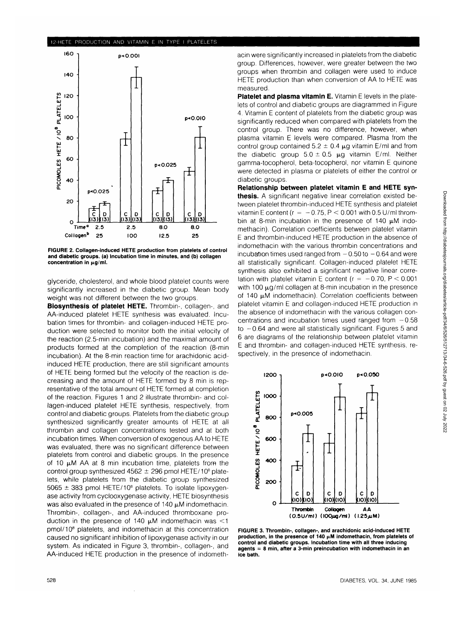## 12-HETE PRODUCTION AND VITAMIN E IN TYPE I PLATELETS



**FIGURE 2. Collagen-induced HETE production from platelets of control and diabetic groups, (a) Incubation time in minutes, and (b) collagen** concentration in  $\mu$ g/ml.

glyceride, cholesterol, and whole blood platelet counts were significantly increased in the diabetic group. Mean body weight was not different between the two groups.

**Biosynthesis of platelet HETE.** Thrombin-, collagen-, and AA-induced platelet HETE synthesis was evaluated. Incubation times for thrombin- and collagen-induced HETE production were selected to monitor both the initial velocity of the reaction (2.5-min incubation) and the maximal amount of products formed at the completion of the reaction (8-min incubation). At the 8-min reaction time for arachidonic acidinduced HETE production, there are still significant amounts of HETE being formed but the velocity of the reaction is decreasing and the amount of HETE formed by 8 min is representative of the total amount of HETE formed at completion of the reaction. Figures 1 and 2 illustrate thrombin- and collagen-induced platelet HETE synthesis, respectively, from control and diabetic groups. Platelets from the diabetic group synthesized significantly greater amounts of HETE at all thrombin and collagen concentrations tested and at both incubation times. When conversion of exogenous AA to HETE was evaluated, there was no significant difference between platelets from control and diabetic groups. In the presence of 10  $\mu$ M AA at 8 min incubation time, platelets from the on to pay for at 0 min includation and, platefold noming<br>control group synthesized 4562 + 296 pmol HETE/108 plate. lets, while platelets from the diabetic group synthesized icts, while platelets from the diabetic group symmesticed<br>5065 + 383 pmol HETE/108 platelets. To isolate lipoxygenase activity from cyclooxygenase activity, HETE biosynthesis was also evaluated in the presence of 140  $\mu$ M indomethacin. Thrombin-, collagen-, and AA-induced thromboxane production in the presence of 140  $\mu$ M indomethacin was <1  $p_{\text{mol}}(108)$  platelets, and indomethacin at this concentration caused no significant inhibition of lipoxygenase activity in our system. As indicated in Figure 3, thrombin-, collagen-, and AA-induced HETE production in the presence of indometh-

acin were significantly increased in platelets from the diabetic group. Differences, however, were greater between the two groups when thrombin and collagen were used to induce HETE production than when conversion of AA to HETE was measured.

**Platelet and plasma vitamin E.** Vitamin E levels in the platelets of control and diabetic groups are diagrammed in Figure 4. Vitamin E content of platelets from the diabetic group was significantly reduced when compared with platelets from the control group. There was no difference, however, when plasma vitamin E levels were compared. Plasma from the control group contained  $5.2 \pm 0.4 \mu$ g vitamin E/ml and from the diabetic group  $5.0 \pm 0.5$   $\mu$ g vitamin E/ml. Neither gamma-tocopherol, beta-tocopherol, nor vitamin E quinone were detected in plasma or platelets of either the control or diabetic groups.

**Relationship between platelet vitamin E and HETE synthesis.** A significant negative linear correlation existed between platelet thrombin-induced HETE synthesis and platelet vitamin E content ( $r = -0.75$ ,  $P < 0.001$  with 0.5 U/ml thrombin at 8-min incubation in the presence of  $140 \mu M$  indomethacin). Correlation coefficients between platelet vitamin E and thrombin-induced HETE production in the absence of indomethacin with the various thrombin concentrations and incubation times used ranged from  $-0.50$  to  $-0.64$  and were all statistically significant. Collagen-induced platelet HETE synthesis also exhibited a significant negative linear correlation with platelet vitamin E content ( $r = -0.70$ ,  $P < 0.001$ ) with 100  $\mu$ g/ml collagen at 8-min incubation in the presence of 140  $\mu$ M indomethacin). Correlation coefficients between platelet vitamin E and collagen-induced HETE production in the absence of indomethacin with the various collagen concentrations and incubation times used ranged from  $-0.58$ to  $-0.64$  and were ail statistically significant. Figures 5 and 6 are diagrams of the relationship between platelet vitamin E and thrombin- and collagen-induced HETE synthesis, respectively, in the presence of indomethacin.



**FIGURE 3. Thrombin-, collagen-, and arachidonic acid-induced HETE** production, in the presence of 140  $\mu$ M indomethacin, from platelets of **control and diabetic groups. Incubation time with all three inducing agents = 8 min, after a 3-min preincubation with indomethacin in an ice bath.**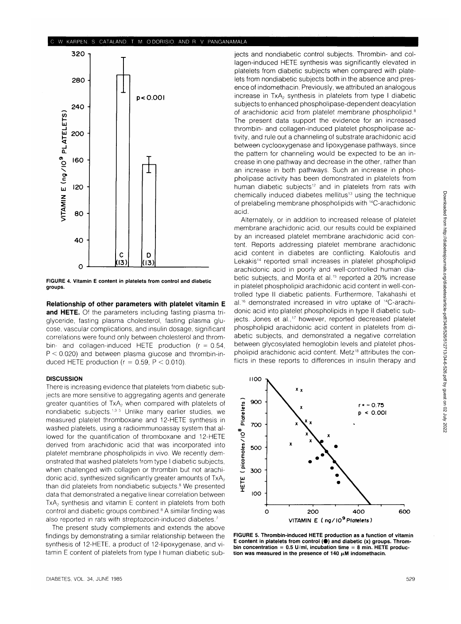#### CATALAND, T. M. O'DORISIO, AND R. V. PANGANAMALA



FIGURE 4. Vitamin E content in platelets from control and diabetic groups.

**Relationship of other parameters with platelet vitamin E and HETE.** Of the parameters including fasting plasma triglyceride, fasting plasma cholesterol, fasting plasma glucose, vascular complications, and insulin dosage, significant correlations were found only between cholesterol and thrombin- and collagen-induced HETE production  $(r = 0.54,$  $P < 0.020$ ) and between plasma glucose and thrombin-induced HETE production ( $r = 0.59$ ,  $P < 0.010$ ).

## **DISCUSSION**

There is increasing evidence that platelets from diabetic subjects are more sensitive to aggregating agents and generate greater quantities of  $TxA<sub>2</sub>$  when compared with platelets of nondiabetic subjects.<sup>1,3-5</sup> Unlike many earlier studies, we measured platelet thromboxane and 12-HETE synthesis in washed platelets, using a radioimmunoassay system that allowed for the quantification of thromboxane and 12-HETE derived from arachidonic acid that was incorporated into platelet membrane phospholipids in vivo. We recently demonstrated that washed platelets from type I diabetic subjects, when challenged with collagen or thrombin but not arachidonic acid, synthesized significantly greater amounts of  $TxA<sub>2</sub>$ than did platelets from nondiabetic subjects.<sup>8</sup> We presented data that demonstrated a negative linear correlation between  $TxA<sub>2</sub>$  synthesis and vitamin E content in platelets from both control and diabetic groups combined.<sup>8</sup> A similar finding was also reported in rats with streptozocin-induced diabetes.<sup>7</sup>

The present study complements and extends the above findings by demonstrating a similar relationship between the synthesis of 12-HETE, a product of 12-lipoxygenase, and vitamin E content of platelets from type I human diabetic sub-

jects and nondiabetic control subjects. Thrombin- and collagen-induced HETE synthesis was significantly elevated in platelets from diabetic subjects when compared with platelets from nondiabetic subjects both in the absence and presence of indomethacin. Previously, we attributed an analogous increase in TxA<sub>2</sub> synthesis in platelets from type I diabetic subjects to enhanced phospholipase-dependent deacylation of arachidonic acid from platelet membrane phospholipid.<sup>8</sup> The present data support the evidence for an increased thrombin- and collagen-induced platelet phospholipase activity, and rule out a channeling of substrate arachidonic acid between cyclooxygenase and lipoxygenase pathways, since the pattern for channeling would be expected to be an increase in one pathway and decrease in the other, rather than an increase in both pathways. Such an increase in phospholipase activity has been demonstrated in platelets from human diabetic subjects<sup>12</sup> and in platelets from rats with chemically induced diabetes mellitus<sup>13</sup> using the technique of prelabeling membrane phospholipids with 14C-arachidonic acid.

Alternately, or in addition to increased release of platelet membrane arachidonic acid, our results could be explained by an increased platelet membrane arachidonic acid content. Reports addressing platelet membrane arachidonic acid content in diabetes are conflicting. Kalofoutis and Lekakis<sup>14</sup> reported small increases in platelet phospholipid arachidonic acid in poorly and well-controlled human diabetic subjects, and Morita et al.<sup>15</sup> reported a 20% increase in platelet phospholipid arachidonic acid content in well-controlled type II diabetic patients. Furthermore, Takahashi et al.16 demonstrated increased in vitro uptake of 14C-arachidonic acid into platelet phospholipids in type II diabetic subjects. Jones et al.,<sup>17</sup> however, reported decreased platelet phospholipid arachidonic acid content in platelets from diabetic subjects, and demonstrated a negative correlation between glycosylated hemoglobin levels and platelet phospholipid arachidonic acid content. Metz<sup>18</sup> attributes the conflicts in these reports to differences in insulin therapy and



FIGURE 5. Thrombin-induced HETE production as a function of vitamin E content in platelets from control  $(①)$  and diabetic  $(x)$  groups. Thrombin concentration =  $0.5$  U/ml, incubation time = 8 min. HETE production was measured in the presence of 140  $\mu$ M indomethacin.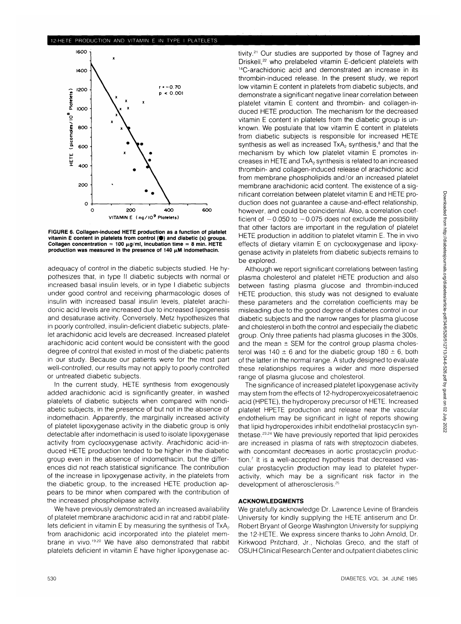### 12-HETE PRODUCTION AND VITAMIN E IN TYPE I PLATELETS



**FIGURE 6. Collagen-induced HETE production as a function of platelet** vitamin E content in platelets from control (<sup>•</sup>) and diabetic (x) groups. Collagen concentration =  $100 \mu g/ml$ , incubation time = 8 min. HETE production was measured in the presence of 140  $\mu$ M indomethacin.

adequacy of control in the diabetic subjects studied. He hypothesizes that, in type II diabetic subjects with normal or increased basal insulin levels, or in type I diabetic subjects under good control and receiving pharmacologic doses of insulin with increased basal insulin levels, platelet arachidonic acid levels are increased due to increased lipogenesis and desaturase activity. Conversely, Metz hypothesizes that in poorly controlled, insulin-deficient diabetic subjects, platelet arachidonic acid levels are decreased. Increased platelet arachidonic acid content would be consistent with the good degree of control that existed in most of the diabetic patients in our study. Because our patients were for the most part well-controlled, our results may not apply to poorly controlled or untreated diabetic subjects.

In the current study, HETE synthesis from exogenously added arachidonic acid is significantly greater, in washed platelets of diabetic subjects when compared with nondiabetic subjects, in the presence of but not in the absence of indomethacin. Apparently, the marginally increased activity of platelet lipoxygenase activity in the diabetic group is only detectable after indomethacin is used to isolate lipoxygenase activity from cyclooxygenase activity. Arachidonic acid-induced HETE production tended to be higher in the diabetic group even in the absence of indomethacin, but the differences did not reach statistical significance. The contribution of the increase in lipoxygenase activity, in the platelets from the diabetic group, to the increased HETE production appears to be minor when compared with the contribution of the increased phospholipase activity.

We have previously demonstrated an increased availability of platelet membrane arachidonic acid in rat and rabbit platelets deficient in vitamin E by measuring the synthesis of  $TxA<sub>2</sub>$ from arachidonic acid incorporated into the platelet membrane in vivo.<sup>19.20</sup> We have also demonstrated that rabbit platelets deficient in vitamin E have higher lipoxygenase ac-

tivity.<sup>21</sup> Our studies are supported by those of Tagney and Driskell,<sup>22</sup> who prelabeled vitamin E-deficient platelets with 14C-arachidonic acid and demonstrated an increase in its thrombin-induced release. In the present study, we report low vitamin E content in platelets from diabetic subjects, and demonstrate a significant negative linear correlation between platelet vitamin E content and thrombin- and collagen-induced HETE production. The mechanism for the decreased vitamin E content in platelets from the diabetic group is unknown. We postulate that low vitamin E content in platelets from diabetic subjects is responsible for increased HETE synthesis as well as increased  $TxA<sub>2</sub>$  synthesis,<sup>8</sup> and that the mechanism by which low platelet vitamin E promotes increases in HETE and TxA<sub>2</sub> synthesis is related to an increased thrombin- and collagen-induced release of arachidonic acid from membrane phospholipids and/or an increased platelet membrane arachidonic acid content. The existence of a significant correlation between platelet vitamin E and HETE production does not guarantee a cause-and-effect relationship, however, and could be coincidental. Also, a correlation coefficient of  $-0.050$  to  $-0.075$  does not exclude the possibility that other factors are important in the regulation of platelet HETE production in addition to platelet vitamin E. The in vivo effects of dietary vitamin E on cyclooxygenase and lipoxygenase activity in platelets from diabetic subjects remains to be explored.

Although we report significant correlations between fasting plasma cholesterol and platelet HETE production and also between fasting plasma glucose and thrombin-induced HETE production, this study was not designed to evaluate these parameters and the correlation coefficients may be misleading due to the good degree of diabetes control in our diabetic subjects and the narrow ranges for plasma glucose and cholesterol in both the control and especially the diabetic group. Only three patients had plasma glucoses in the 300s, and the mean  $\pm$  SEM for the control group plasma cholesterol was 140  $\pm$  6 and for the diabetic group 180  $\pm$  6, both of the latter in the normal range. A study designed to evaluate these relationships requires a wider and more dispersed range of plasma glucose and cholesterol.

The significance of increased platelet lipoxygenase activity may stem from the effects of 12-hydroperoxyeicosatetraenoic acid (HPETE), the hydroperoxy precursor of HETE. Increased platelet HPETE production and release near the vascular endothelium may be significant in light of reports showing that lipid hydroperoxides inhibit endothelial prostacyclin synthetase.<sup>23,24</sup> We have previously reported that lipid peroxides are increased in plasma of rats with streptozocin diabetes, with concomitant decreases in aortic prostacyclin production.7 It is a well-accepted hypothesis that decreased vascular prostacyclin production may lead to platelet hyperactivity, which may be a significant risk factor in the development of atherosclerosis.<sup>25</sup>

#### **ACKNOWLEDGMENTS**

We gratefully acknowledge Dr. Lawrence Levine of Brandeis University for kindly supplying the HETE antiserum and Dr. Robert Bryant of George Washington University for supplying the 12-HETE. We express sincere thanks to John Arnold, Dr. Kirkwood Pritchard, Jr., Nicholas Greco, and the staff of OSUH Clinical Research Center and outpatient diabetes clinic